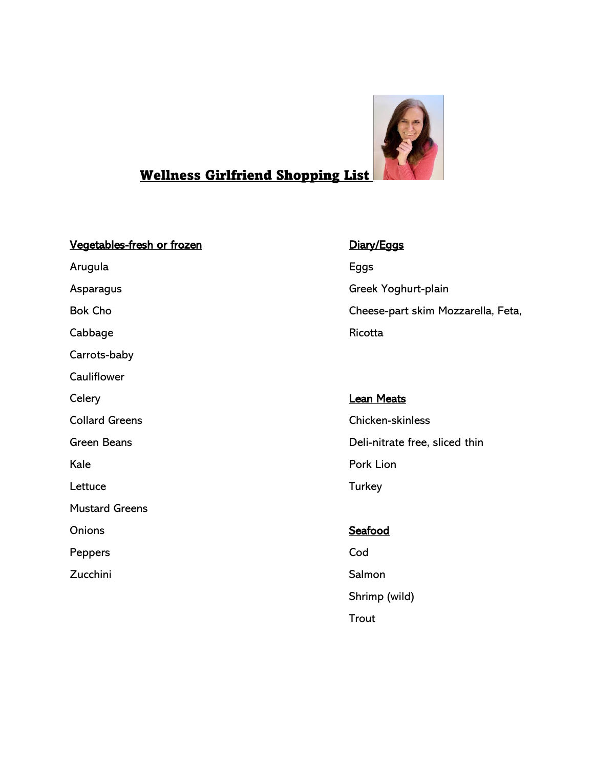

# Wellness Girlfriend Shopping List

# Vegetables-fresh or frozen **Diary/Eggs**

Arugula **Eggs** Asparagus **Greek Yoghurt-plain** Cabbage **Ricotta** Carrots-baby **Cauliflower** Celery **Lean Meats** Collard Greens Chicken-skinless Kale **Pork Lion** Lettuce Turkey Mustard Greens Onions Seafood Seafood Peppers Cod

Zucchini Salmon Salmon

Bok Cho Cheese-part skim Mozzarella, Feta,

# Green Beans **Deli-nitrate free**, sliced thin

Shrimp (wild) Trout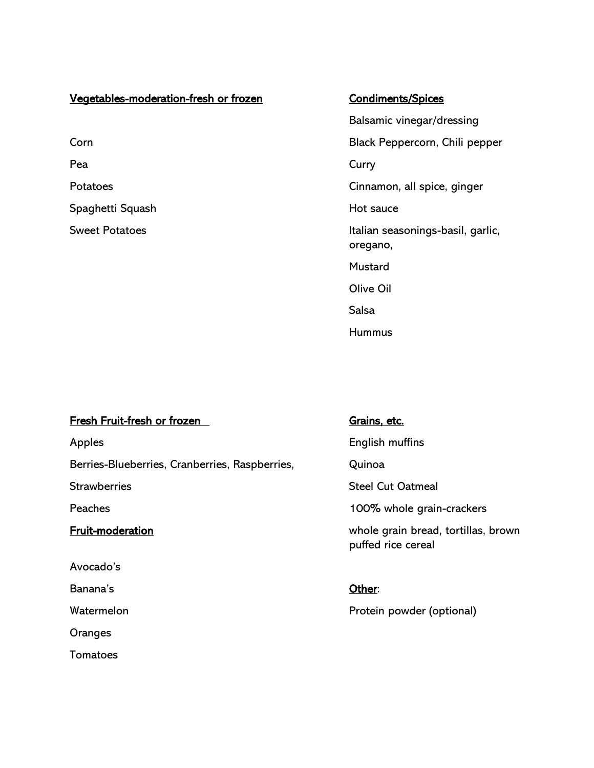# Vegetables-moderation-fresh or frozen Condiments/Spices Corn Black Peppercorn, Chili pepper Pea Curry Commission of the Curry Curry Curry Curry Curry Curry Curry Curry Curry Potatoes **Cinnamon**, all spice, ginger Spaghetti Squash **Hot sauce** Hot sauce Sweet Potatoes **Italian seasonings-basil**, garlic,

Balsamic vinegar/dressing oregano, Mustard Olive Oil Salsa Hummus

# Fresh Fruit-fresh or frozen Grains, etc.

Apples **English muffins** Berries-Blueberries, Cranberries, Raspberries, Quinoa Strawberries Strawberries Strawberries Strawberries Steel Cut Oatmeal Peaches 2009 and 2009 and 2009 and 2009 and 2009 and 2009 whole grain-crackers Fruit-moderation whole grain bread, tortillas, brown Avocado's Banana's **Other:** Watermelon **Watermelon Protein powder (optional) Oranges Tomatoes** 

puffed rice cereal